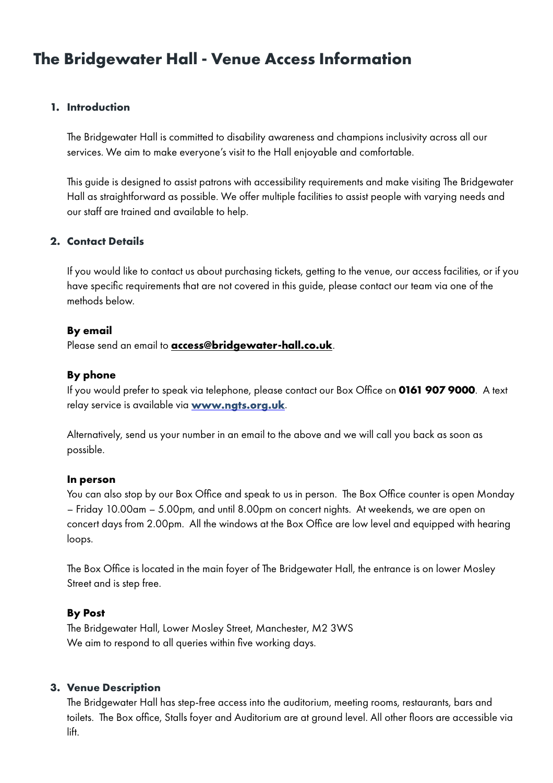# **The Bridgewater Hall - Venue Access Information**

### **1. Introduction**

The Bridgewater Hall is committed to disability awareness and champions inclusivity across all our services. We aim to make everyone's visit to the Hall enjoyable and comfortable.

This guide is designed to assist patrons with accessibility requirements and make visiting The Bridgewater Hall as straightforward as possible. We offer multiple facilities to assist people with varying needs and our staff are trained and available to help.

### **2. Contact Details**

If you would like to contact us about purchasing tickets, getting to the venue, our access facilities, or if you have specific requirements that are not covered in this guide, please contact our team via one of the methods below.

#### **By email**

Please send an email to **access@bridgewater-hall.co.uk**.

### **By phone**

If you would prefer to speak via telephone, please contact our Box Office on **0161 907 9000**. A text relay service is available via **[www.ngts.org.uk](http://www.ngts.org.uk)**.

Alternatively, send us your number in an email to the above and we will call you back as soon as possible.

#### **In person**

You can also stop by our Box Office and speak to us in person. The Box Office counter is open Monday – Friday 10.00am – 5.00pm, and until 8.00pm on concert nights. At weekends, we are open on concert days from 2.00pm. All the windows at the Box Office are low level and equipped with hearing loops.

The Box Office is located in the main foyer of The Bridgewater Hall, the entrance is on lower Mosley Street and is step free.

### **By Post**

The Bridgewater Hall, Lower Mosley Street, Manchester, M2 3WS We aim to respond to all queries within five working days.

### **3. Venue Description**

The Bridgewater Hall has step-free access into the auditorium, meeting rooms, restaurants, bars and toilets. The Box office, Stalls foyer and Auditorium are at ground level. All other floors are accessible via lift.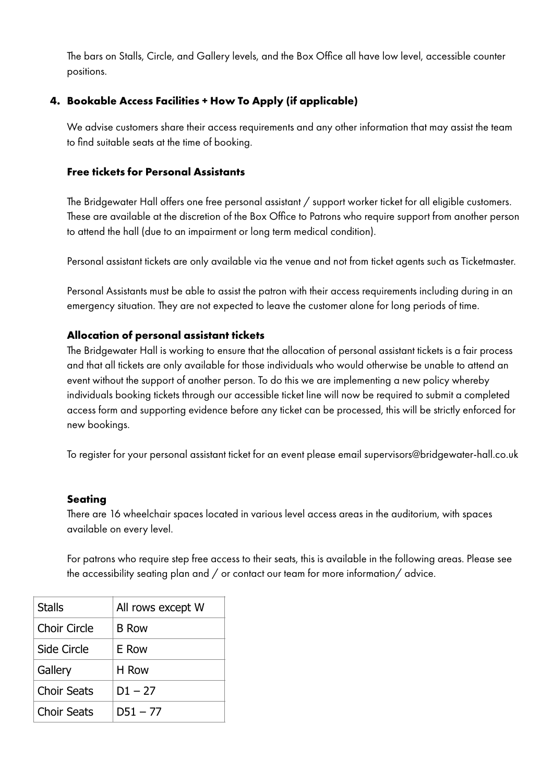The bars on Stalls, Circle, and Gallery levels, and the Box Office all have low level, accessible counter positions.

# **4. Bookable Access Facilities + How To Apply (if applicable)**

We advise customers share their access requirements and any other information that may assist the team to find suitable seats at the time of booking.

### **Free tickets for Personal Assistants**

The Bridgewater Hall offers one free personal assistant / support worker ticket for all eligible customers. These are available at the discretion of the Box Office to Patrons who require support from another person to attend the hall (due to an impairment or long term medical condition).

Personal assistant tickets are only available via the venue and not from ticket agents such as Ticketmaster.

Personal Assistants must be able to assist the patron with their access requirements including during in an emergency situation. They are not expected to leave the customer alone for long periods of time.

### **Allocation of personal assistant tickets**

The Bridgewater Hall is working to ensure that the allocation of personal assistant tickets is a fair process and that all tickets are only available for those individuals who would otherwise be unable to attend an event without the support of another person. To do this we are implementing a new policy whereby individuals booking tickets through our accessible ticket line will now be required to submit a completed access form and supporting evidence before any ticket can be processed, this will be strictly enforced for new bookings.

To register for your personal assistant ticket for an event please email supervisors@bridgewater-hall.co.uk

### **Seating**

There are 16 wheelchair spaces located in various level access areas in the auditorium, with spaces available on every level.

For patrons who require step free access to their seats, this is available in the following areas. Please see the accessibility seating plan and / or contact our team for more information/ advice.

| <b>Stalls</b>       | All rows except W |
|---------------------|-------------------|
| <b>Choir Circle</b> | <b>B</b> Row      |
| Side Circle         | E Row             |
| Gallery             | H Row             |
| Choir Seats         | $D1 - 27$         |
| Choir Seats         | $D51 - 77$        |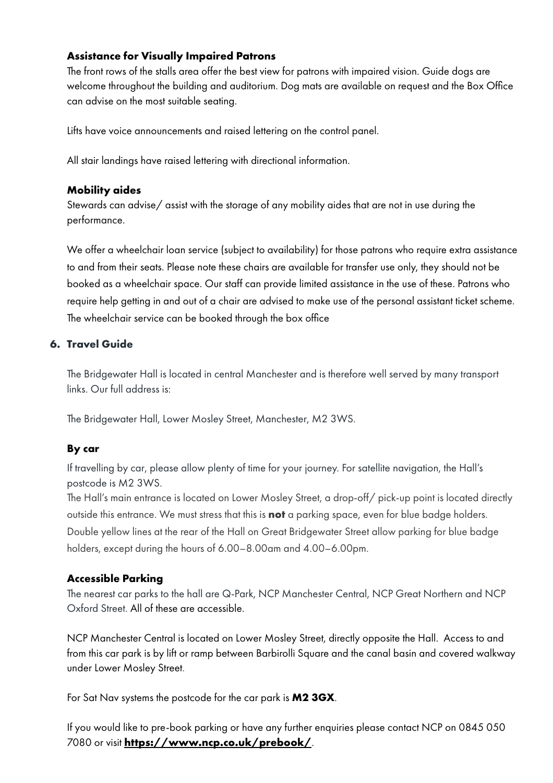### **Assistance for Visually Impaired Patrons**

The front rows of the stalls area offer the best view for patrons with impaired vision. Guide dogs are welcome throughout the building and auditorium. Dog mats are available on request and the Box Office can advise on the most suitable seating.

Lifts have voice announcements and raised lettering on the control panel.

All stair landings have raised lettering with directional information.

#### **Mobility aides**

Stewards can advise/ assist with the storage of any mobility aides that are not in use during the performance.

We offer a wheelchair loan service (subject to availability) for those patrons who require extra assistance to and from their seats. Please note these chairs are available for transfer use only, they should not be booked as a wheelchair space. Our staff can provide limited assistance in the use of these. Patrons who require help getting in and out of a chair are advised to make use of the personal assistant ticket scheme. The wheelchair service can be booked through the box office

### **6. Travel Guide**

The Bridgewater Hall is located in central Manchester and is therefore well served by many transport links. Our full address is:

The Bridgewater Hall, Lower Mosley Street, Manchester, M2 3WS.

## **By car**

If travelling by car, please allow plenty of time for your journey. For satellite navigation, the Hall's postcode is M2 3WS.

The Hall's main entrance is located on Lower Mosley Street, a drop-off/ pick-up point is located directly outside this entrance. We must stress that this is **not** a parking space, even for blue badge holders. Double yellow lines at the rear of the Hall on Great Bridgewater Street allow parking for blue badge holders, except during the hours of 6.00–8.00am and 4.00–6.00pm.

## **Accessible Parking**

The nearest car parks to the hall are Q-Park, NCP Manchester Central, NCP Great Northern and NCP Oxford Street. All of these are accessible.

NCP Manchester Central is located on Lower Mosley Street, directly opposite the Hall. Access to and from this car park is by lift or ramp between Barbirolli Square and the canal basin and covered walkway under Lower Mosley Street.

For Sat Nav systems the postcode for the car park is **M2 3GX**.

If you would like to pre-book parking or have any further enquiries please contact NCP on 0845 050 7080 or visit **<https://www.ncp.co.uk/prebook/>**.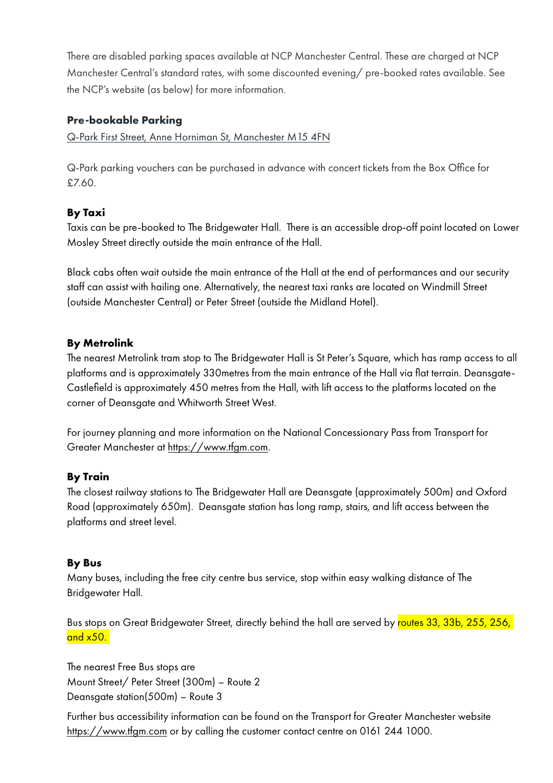There are disabled parking spaces available at NCP Manchester Central. These are charged at NCP Manchester Central's standard rates, with some discounted evening/ pre-booked rates available. See the NCP's website (as below) for more information.

## **Pre-bookable Parking**

Q-Park First Street, Anne Horniman St, Manchester M15 4FN

Q-Park parking vouchers can be purchased in advance with concert tickets from the Box Office for £7.60.

# **By Taxi**

Taxis can be pre-booked to The Bridgewater Hall. There is an accessible drop-off point located on Lower Mosley Street directly outside the main entrance of the Hall.

Black cabs often wait outside the main entrance of the Hall at the end of performances and our security staff can assist with hailing one. Alternatively, the nearest taxi ranks are located on Windmill Street (outside Manchester Central) or Peter Street (outside the Midland Hotel).

## **By Metrolink**

The nearest Metrolink tram stop to The Bridgewater Hall is St Peter's Square, which has ramp access to all platforms and is approximately 330metres from the main entrance of the Hall via flat terrain. Deansgate-Castlefield is approximately 450 metres from the Hall, with lift access to the platforms located on the corner of Deansgate and Whitworth Street West.

For journey planning and more information on the National Concessionary Pass from Transport for Greater Manchester at <https://www.tfgm.com>.

## **By Train**

The closest railway stations to The Bridgewater Hall are Deansgate (approximately 500m) and Oxford Road (approximately 650m). Deansgate station has long ramp, stairs, and lift access between the platforms and street level.

## **By Bus**

Many buses, including the free city centre bus service, stop within easy walking distance of The Bridgewater Hall.

Bus stops on Great Bridgewater Street, directly behind the hall are served by routes 33, 33b, 255, 256, and  $x50.$ 

The nearest Free Bus stops are Mount Street/ Peter Street (300m) – Route 2 Deansgate station(500m) – Route 3

Further bus accessibility information can be found on the Transport for Greater Manchester website <https://www.tfgm.com>or by calling the customer contact centre on 0161 244 1000.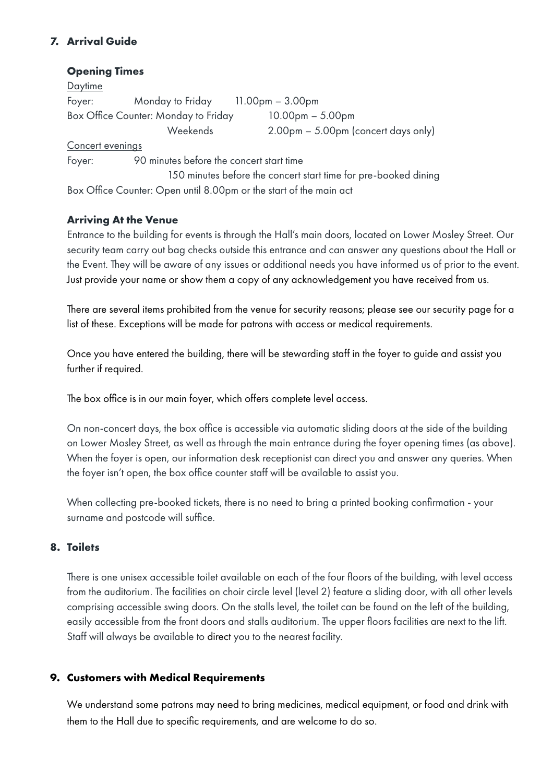# **7. Arrival Guide**

### **Opening Times**

**Daytime** Foyer: Monday to Friday 11.00pm – 3.00pm Box Office Counter: Monday to Friday 10.00pm – 5.00pm Weekends 2.00pm – 5.00pm (concert days only) Concert evenings Foyer: 90 minutes before the concert start time 150 minutes before the concert start time for pre-booked dining Box Office Counter: Open until 8.00pm or the start of the main act

**Arriving At the Venue**

Entrance to the building for events is through the Hall's main doors, located on Lower Mosley Street. Our security team carry out bag checks outside this entrance and can answer any questions about the Hall or the Event. They will be aware of any issues or additional needs you have informed us of prior to the event. Just provide your name or show them a copy of any acknowledgement you have received from us.

There are several items prohibited from the venue for security reasons; please see our security page for a list of these. Exceptions will be made for patrons with access or medical requirements.

Once you have entered the building, there will be stewarding staff in the foyer to guide and assist you further if required.

The box office is in our main foyer, which offers complete level access.

On non-concert days, the box office is accessible via automatic sliding doors at the side of the building on Lower Mosley Street, as well as through the main entrance during the foyer opening times (as above). When the foyer is open, our information desk receptionist can direct you and answer any queries. When the foyer isn't open, the box office counter staff will be available to assist you.

When collecting pre-booked tickets, there is no need to bring a printed booking confirmation - your surname and postcode will suffice.

### **8. Toilets**

There is one unisex accessible toilet available on each of the four floors of the building, with level access from the auditorium. The facilities on choir circle level (level 2) feature a sliding door, with all other levels comprising accessible swing doors. On the stalls level, the toilet can be found on the left of the building, easily accessible from the front doors and stalls auditorium. The upper floors facilities are next to the lift. Staff will always be available to direct you to the nearest facility.

## **9. Customers with Medical Requirements**

We understand some patrons may need to bring medicines, medical equipment, or food and drink with them to the Hall due to specific requirements, and are welcome to do so.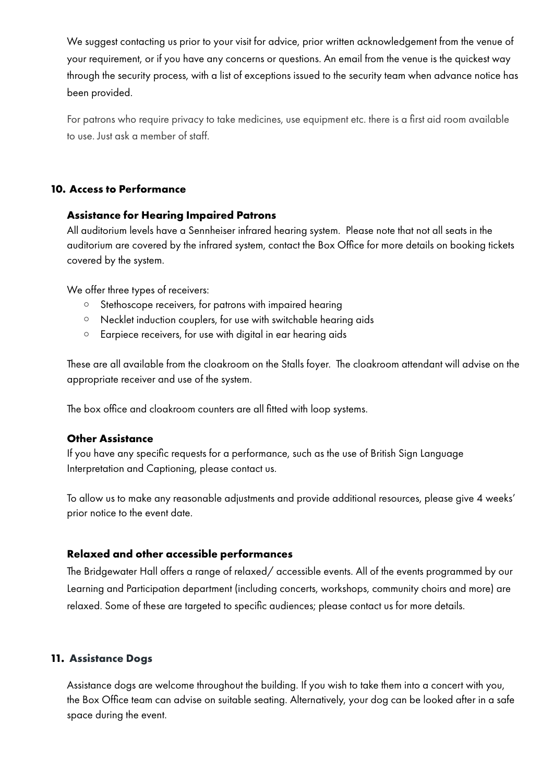We suggest contacting us prior to your visit for advice, prior written acknowledgement from the venue of your requirement, or if you have any concerns or questions. An email from the venue is the quickest way through the security process, with a list of exceptions issued to the security team when advance notice has been provided.

For patrons who require privacy to take medicines, use equipment etc. there is a first aid room available to use. Just ask a member of staff.

### **10. Access to Performance**

### **Assistance for Hearing Impaired Patrons**

All auditorium levels have a Sennheiser infrared hearing system. Please note that not all seats in the auditorium are covered by the infrared system, contact the Box Office for more details on booking tickets covered by the system.

We offer three types of receivers:

- o Stethoscope receivers, for patrons with impaired hearing
- o Necklet induction couplers, for use with switchable hearing aids
- o Earpiece receivers, for use with digital in ear hearing aids

These are all available from the cloakroom on the Stalls foyer. The cloakroom attendant will advise on the appropriate receiver and use of the system.

The box office and cloakroom counters are all fitted with loop systems.

### **Other Assistance**

If you have any specific requests for a performance, such as the use of British Sign Language Interpretation and Captioning, please contact us.

To allow us to make any reasonable adjustments and provide additional resources, please give 4 weeks' prior notice to the event date.

#### **Relaxed and other accessible performances**

The Bridgewater Hall offers a range of relaxed/ accessible events. All of the events programmed by our Learning and Participation department (including concerts, workshops, community choirs and more) are relaxed. Some of these are targeted to specific audiences; please contact us for more details.

### **11. Assistance Dogs**

Assistance dogs are welcome throughout the building. If you wish to take them into a concert with you, the Box Office team can advise on suitable seating. Alternatively, your dog can be looked after in a safe space during the event.